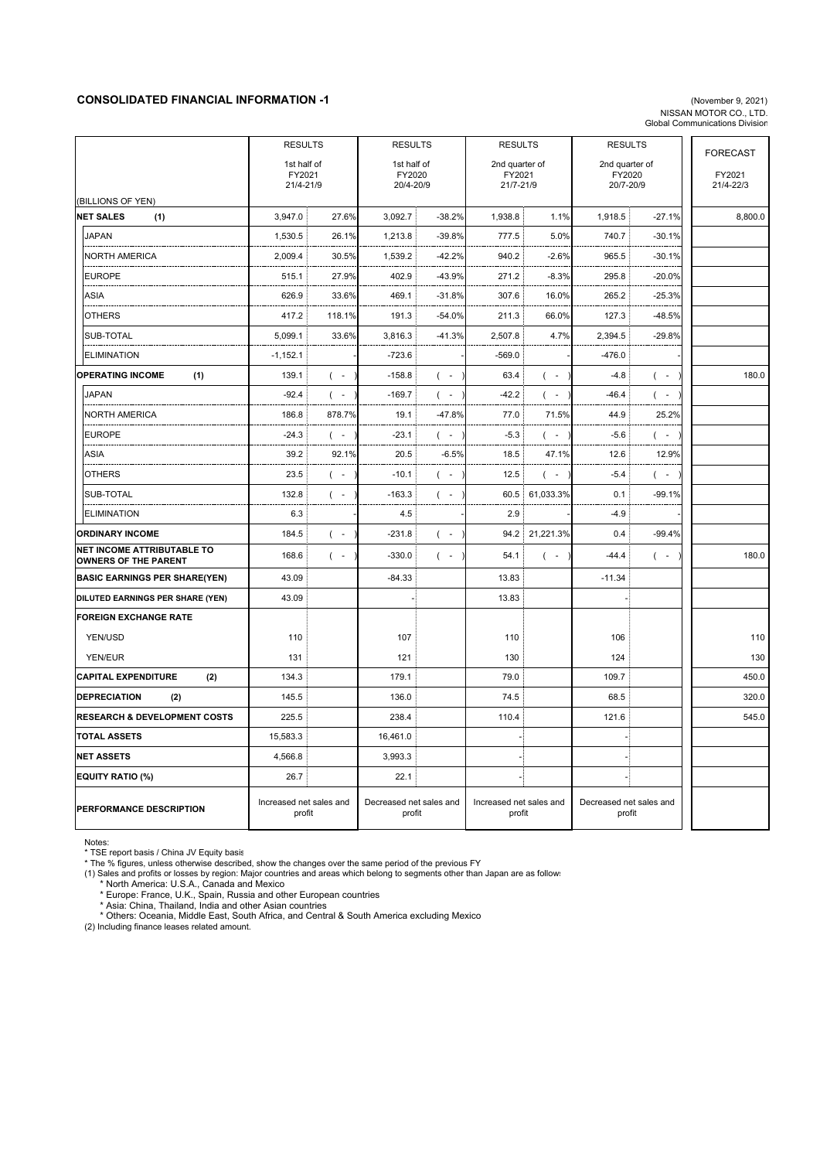## **CONSOLIDATED FINANCIAL INFORMATION -1** (November 9, 2021)

## NISSAN MOTOR CO., LTD. Global Communications Division

|                                                                  | <b>RESULTS</b>                    | <b>RESULTS</b>                    |                                  | <b>RESULTS</b> |                                   | <b>RESULTS</b>                             |                     |
|------------------------------------------------------------------|-----------------------------------|-----------------------------------|----------------------------------|----------------|-----------------------------------|--------------------------------------------|---------------------|
|                                                                  | 1st half of                       | 1st half of                       |                                  | 2nd quarter of |                                   | 2nd quarter of                             | <b>FORECAST</b>     |
|                                                                  | FY2021<br>21/4-21/9               | FY2020<br>20/4-20/9               | FY2021<br>21/7-21/9              |                | FY2020<br>20/7-20/9               |                                            | FY2021<br>21/4-22/3 |
| (BILLIONS OF YEN)                                                |                                   |                                   |                                  |                |                                   |                                            |                     |
| <b>NET SALES</b><br>(1)                                          | 3,947.0<br>27.6%                  | 3,092.7                           | 1,938.8<br>$-38.2%$              | 1.1%           | 1,918.5                           | $-27.1%$                                   | 8,800.0             |
| <b>JAPAN</b>                                                     | 1,530.5<br>26.1%                  | 1,213.8                           | $-39.8%$<br>777.5                | 5.0%           | 740.7                             | $-30.1%$                                   |                     |
| <b>NORTH AMERICA</b>                                             | 2,009.4<br>30.5%                  | 1,539.2                           | $-42.2%$<br>940.2                | $-2.6%$        | 965.5                             | -30.1%                                     |                     |
| <b>EUROPE</b>                                                    | 27.9%<br>515.1                    | 402.9                             | -43.9%<br>271.2                  | $-8.3%$        | 295.8                             | $-20.0%$                                   |                     |
| <b>ASIA</b>                                                      | 626.9<br>33.6%                    | 469.1                             | $-31.8%$<br>307.6                | 16.0%          | 265.2                             | $-25.3%$                                   |                     |
| <b>OTHERS</b>                                                    | 417.2<br>118.1%                   | 191.3                             | $-54.0%$<br>211.3                | 66.0%          | 127.3                             | $-48.5%$                                   |                     |
| SUB-TOTAL                                                        | 5,099.1<br>33.6%                  | 3,816.3                           | $-41.3%$<br>2,507.8              | 4.7%           | 2,394.5                           | $-29.8%$                                   |                     |
| <b>ELIMINATION</b>                                               | $-1,152.1$                        | -723.6                            | -569.0                           |                | -476.0                            |                                            |                     |
| <b>OPERATING INCOME</b><br>(1)                                   | 139.1<br>$($ -                    | $-158.8$<br>$($ -                 | 63.4                             | $($ -          | $-4.8$                            | $($ -                                      | 180.0               |
| <b>JAPAN</b>                                                     | $-92.4$<br>$($ -                  | $-169.7$<br>$($ -                 | $-42.2$                          | $($ -          | $-46.4$                           | $($ -                                      |                     |
| <b>NORTH AMERICA</b>                                             | 186.8<br>878.7%                   | 19.1                              | $-47.8%$<br>77.0                 | 71.5%          | 44.9                              | 25.2%                                      |                     |
| <b>EUROPE</b>                                                    | $-24.3$<br>$($ -                  | $-23.1$<br>$\left($               | $-5.3$<br>$\sim$                 | $($ -          | $-5.6$                            | $\sim$<br>(                                |                     |
| <b>ASIA</b>                                                      | 39.2<br>92.1%                     | 20.5                              | $-6.5%$<br>18.5                  | 47.1%          | 12.6:                             | 12.9%                                      |                     |
| <b>OTHERS</b>                                                    | 23.5<br>$($ -                     | $-10.1$<br>$\left($               | 12.5<br>$\overline{\phantom{a}}$ | $($ -          | $-5.4$                            | $\overline{\phantom{a}}$<br>$\overline{ }$ |                     |
| SUB-TOTAL                                                        | 132.8<br>$($ -                    | $-163.3$<br>$($ -                 | 60.5                             | 61,033.3%      | 0.1                               | $-99.1%$                                   |                     |
| <b>ELIMINATION</b>                                               | 6.3                               | 4.5                               | 2.9                              |                | -4.9                              |                                            |                     |
| <b>ORDINARY INCOME</b>                                           | 184.5<br>$($ -                    | $-231.8$<br>$($ -                 |                                  | 94.2 21,221.3% | 0.4                               | $-99.4%$                                   |                     |
| <b>NET INCOME ATTRIBUTABLE TO</b><br><b>OWNERS OF THE PARENT</b> | 168.6<br>$($ -                    | $-330.0$<br>$($ -                 | 54.1                             | $($ -          | $-44.4$                           | $($ -                                      | 180.0               |
| <b>BASIC EARNINGS PER SHARE(YEN)</b>                             | 43.09                             | $-84.33$                          | 13.83                            |                | $-11.34$                          |                                            |                     |
| DILUTED EARNINGS PER SHARE (YEN)                                 | 43.09                             |                                   | 13.83                            |                |                                   |                                            |                     |
| <b>FOREIGN EXCHANGE RATE</b>                                     |                                   |                                   |                                  |                |                                   |                                            |                     |
| YEN/USD                                                          | 110                               | 107                               | 110                              |                | 106                               |                                            | 110                 |
| YEN/EUR                                                          | 131                               | 121                               | 130                              |                | 124                               |                                            | 130                 |
| <b>CAPITAL EXPENDITURE</b><br>(2)                                | 134.3                             | 179.1                             | 79.0                             |                | 109.7                             |                                            | 450.0               |
| <b>DEPRECIATION</b><br>(2)                                       | 145.5                             | 136.0                             | 74.5                             |                | 68.5                              |                                            | 320.0               |
| <b>RESEARCH &amp; DEVELOPMENT COSTS</b>                          | 225.5                             | 238.4                             | 110.4                            |                | 121.6                             |                                            | 545.0               |
| <b>TOTAL ASSETS</b>                                              | 15,583.3                          | 16,461.0                          |                                  |                |                                   |                                            |                     |
| <b>NET ASSETS</b>                                                | 4,566.8                           | 3,993.3                           |                                  |                | J.                                |                                            |                     |
| <b>EQUITY RATIO (%)</b>                                          | 26.7                              | 22.1                              |                                  |                | 4                                 |                                            |                     |
| PERFORMANCE DESCRIPTION                                          | Increased net sales and<br>profit | Decreased net sales and<br>profit | Increased net sales and          | profit         | Decreased net sales and<br>profit |                                            |                     |

Notes:<br>\* TSE report basis / China JV Equity basis<br>\* The % figures, unless otherwise described, show the changes over the same period of the previous FY

(1) Sales and profits or losses by region: Major countries and areas which belong to segments other than Japan are as follows

\* North America: U.S.A., Canada and Mexico<br>\* Europe: France, U.K., Spain, Russia and other European countries<br>\* Asia: China, Thailand, India and other Asian countries<br>\* Others: Oceania, Middle East, South Africa, and Centr